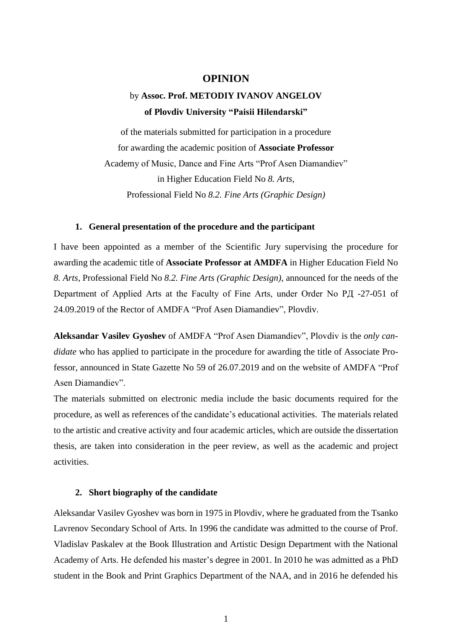### **OPINION**

# by **Assoc. Prof. METODIY IVANOV ANGELOV of Plovdiv University "Paisii Hilendarski"**

of the materials submitted for participation in a procedure for awarding the academic position of **Associate Professor**  Academy of Music, Dance and Fine Arts "Prof Asen Diamandiev" in Higher Education Field No *8. Arts,* Professional Field No *8.2. Fine Arts (Graphic Design)*

#### **1. General presentation of the procedure and the participant**

I have been appointed as a member of the Scientific Jury supervising the procedure for awarding the academic title of **Associate Professor at AMDFA** in Higher Education Field No *8. Arts*, Professional Field No *8.2. Fine Arts (Graphic Design)*, announced for the needs of the Department of Applied Arts at the Faculty of Fine Arts, under Order No PД -27-051 of 24.09.2019 of the Rector of AMDFA "Prof Asen Diamandiev", Plovdiv.

**Aleksandar Vasilev Gyoshev** of AMDFA "Prof Asen Diamandiev", Plovdiv is the *only candidate* who has applied to participate in the procedure for awarding the title of Associate Professor, announced in State Gazette No 59 of 26.07.2019 and on the website of AMDFA "Prof Asen Diamandiev".

The materials submitted on electronic media include the basic documents required for the procedure, as well as references of the candidate's educational activities. The materials related to the artistic and creative activity and four academic articles, which are outside the dissertation thesis, are taken into consideration in the peer review, as well as the academic and project activities.

#### **2. Short biography of the candidate**

Aleksandar Vasilev Gyoshev was born in 1975 in Plovdiv, where he graduated from the Tsanko Lavrenov Secondary School of Arts. In 1996 the candidate was admitted to the course of Prof. Vladislav Paskalev at the Book Illustration and Artistic Design Department with the National Academy of Arts. He defended his master's degree in 2001. In 2010 he was admitted as a PhD student in the Book and Print Graphics Department of the NAA, and in 2016 he defended his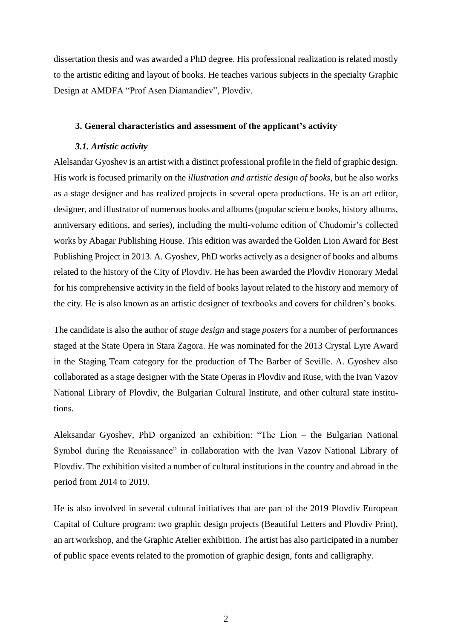dissertation thesis and was awarded a PhD degree. His professional realization is related mostly to the artistic editing and layout of books. He teaches various subjects in the specialty Graphic Design at AMDFA "Prof Asen Diamandiev", Plovdiv.

#### **3. General characteristics and assessment of the applicant's activity**

# *3.1. Artistic activity*

Alelsandar Gyoshev is an artist with a distinct professional profile in the field of graphic design. His work is focused primarily on the *illustration and artistic design of books*, but he also works as a stage designer and has realized projects in several opera productions. He is an art editor, designer, and illustrator of numerous books and albums (popular science books, history albums, anniversary editions, and series), including the multi-volume edition of Chudomir's collected works by Abagar Publishing House. This edition was awarded the Golden Lion Award for Best Publishing Project in 2013. A. Gyoshev, PhD works actively as a designer of books and albums related to the history of the City of Plovdiv. He has been awarded the Plovdiv Honorary Medal for his comprehensive activity in the field of books layout related to the history and memory of the city. He is also known as an artistic designer of textbooks and covers for children's books.

The candidate is also the author of *stage design* and stage *posters* for a number of performances staged at the State Opera in Stara Zagora. He was nominated for the 2013 Crystal Lyre Award in the Staging Team category for the production of The Barber of Seville. A. Gyoshev also collaborated as a stage designer with the State Operas in Plovdiv and Ruse, with the Ivan Vazov National Library of Plovdiv, the Bulgarian Cultural Institute, and other cultural state institutions.

Aleksandar Gyoshev, PhD organized an exhibition: "The Lion – the Bulgarian National Symbol during the Renaissance" in collaboration with the Ivan Vazov National Library of Plovdiv. The exhibition visited a number of cultural institutions in the country and abroad in the period from 2014 to 2019.

He is also involved in several cultural initiatives that are part of the 2019 Plovdiv European Capital of Culture program: two graphic design projects (Beautiful Letters and Plovdiv Print), an art workshop, and the Graphic Atelier exhibition. The artist has also participated in a number of public space events related to the promotion of graphic design, fonts and calligraphy.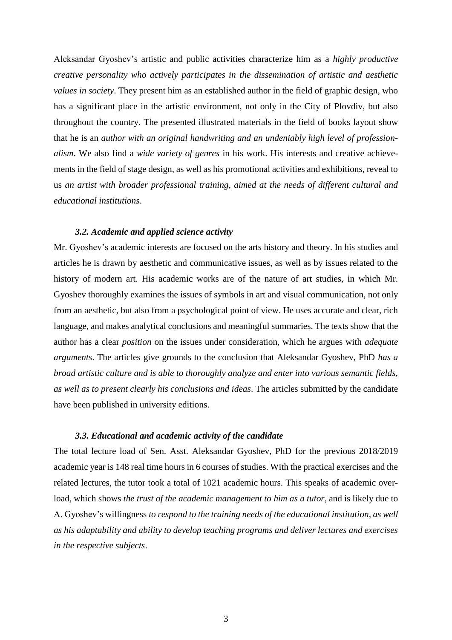Aleksandar Gyoshev's artistic and public activities characterize him as a *highly productive creative personality who actively participates in the dissemination of artistic and aesthetic values in society*. They present him as an established author in the field of graphic design, who has a significant place in the artistic environment, not only in the City of Plovdiv, but also throughout the country. The presented illustrated materials in the field of books layout show that he is an *author with an original handwriting and an undeniably high level of professionalism*. We also find a *wide variety of genres* in his work. His interests and creative achievements in the field of stage design, as well as his promotional activities and exhibitions, reveal to us *an artist with broader professional training, aimed at the needs of different cultural and educational institutions*.

#### *3.2. Academic and applied science activity*

Mr. Gyoshev's academic interests are focused on the arts history and theory. In his studies and articles he is drawn by aesthetic and communicative issues, as well as by issues related to the history of modern art. His academic works are of the nature of art studies, in which Mr. Gyoshev thoroughly examines the issues of symbols in art and visual communication, not only from an aesthetic, but also from a psychological point of view. He uses accurate and clear, rich language, and makes analytical conclusions and meaningful summaries. The texts show that the author has a clear *position* on the issues under consideration, which he argues with *adequate arguments*. The articles give grounds to the conclusion that Aleksandar Gyoshev, PhD *has a broad artistic culture and is able to thoroughly analyze and enter into various semantic fields, as well as to present clearly his conclusions and ideas*. The articles submitted by the candidate have been published in university editions.

### *3.3. Educational and academic activity of the candidate*

The total lecture load of Sen. Asst. Aleksandar Gyoshev, PhD for the previous 2018/2019 academic year is 148 real time hours in 6 courses of studies. With the practical exercises and the related lectures, the tutor took a total of 1021 academic hours. This speaks of academic overload, which shows *the trust of the academic management to him as a tutor*, and is likely due to A. Gyoshev's willingness *to respond to the training needs of the educational institution, as well as his adaptability and ability to develop teaching programs and deliver lectures and exercises in the respective subjects*.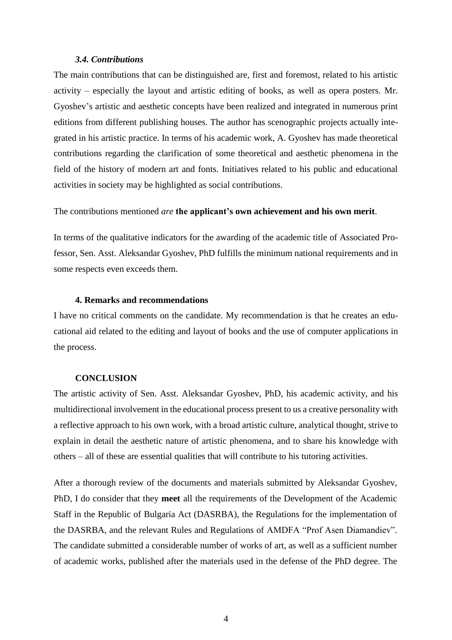#### *3.4. Contributions*

The main contributions that can be distinguished are, first and foremost, related to his artistic activity – especially the layout and artistic editing of books, as well as opera posters. Mr. Gyoshev's artistic and aesthetic concepts have been realized and integrated in numerous print editions from different publishing houses. The author has scenographic projects actually integrated in his artistic practice. In terms of his academic work, A. Gyoshev has made theoretical contributions regarding the clarification of some theoretical and aesthetic phenomena in the field of the history of modern art and fonts. Initiatives related to his public and educational activities in society may be highlighted as social contributions.

#### The contributions mentioned *are* **the applicant's own achievement and his own merit**.

In terms of the qualitative indicators for the awarding of the academic title of Associated Professor, Sen. Asst. Aleksandar Gyoshev, PhD fulfills the minimum national requirements and in some respects even exceeds them.

#### **4. Remarks and recommendations**

I have no critical comments on the candidate. My recommendation is that he creates an educational aid related to the editing and layout of books and the use of computer applications in the process.

# **CONCLUSION**

The artistic activity of Sen. Asst. Aleksandar Gyoshev, PhD, his academic activity, and his multidirectional involvement in the educational process present to us a creative personality with a reflective approach to his own work, with a broad artistic culture, analytical thought, strive to explain in detail the aesthetic nature of artistic phenomena, and to share his knowledge with others – all of these are essential qualities that will contribute to his tutoring activities.

After a thorough review of the documents and materials submitted by Aleksandar Gyoshev, PhD, I do consider that they **meet** all the requirements of the Development of the Academic Staff in the Republic of Bulgaria Act (DASRBA), the Regulations for the implementation of the DASRBA, and the relevant Rules and Regulations of AMDFA "Prof Asen Diamandiev". The candidate submitted a considerable number of works of art, as well as a sufficient number of academic works, published after the materials used in the defense of the PhD degree. The